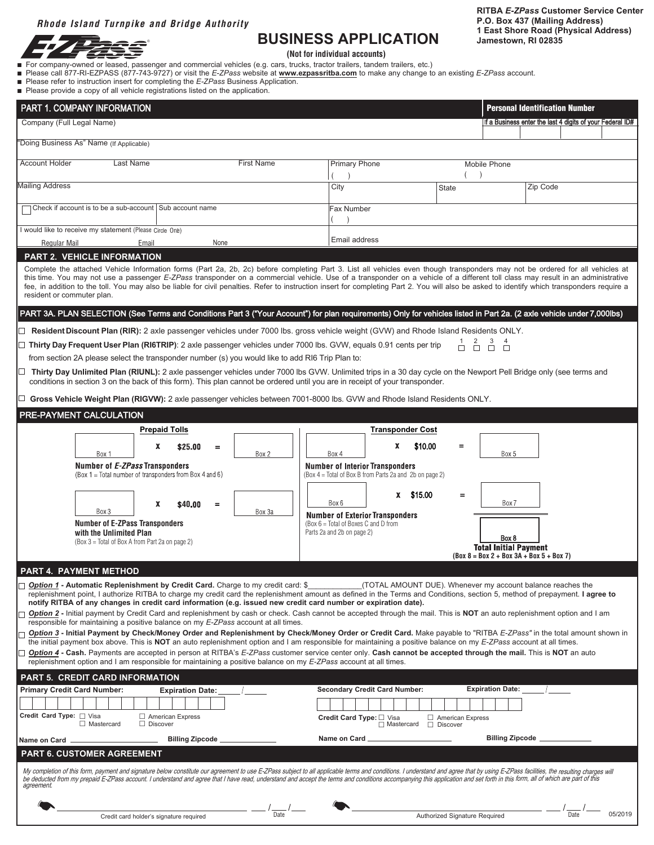# *Rhode Island Turnpike and Bridge Authority*



# **BUSINESS APPLICATION** Jamestown, RI 02835

**RITBA** *E-ZPass* **Customer Service Center P.O. Box 437 (Mailing Address) 1 East Shore Road (Physical Address)**

**(Not for individual accounts)**

- n For company-owned or leased, passenger and commercial vehicles (e.g. cars, trucks, tractor trailers, tandem trailers, etc.)
- Please call 877-RI-EZPASS (877-743-9727) or visit the *E-ZPass* website at **www.ezpassritba.com** to make any change to an existing *E-ZPass* account.
- Please refer to instruction insert for completing the *E-ZPass* Business Application.
- n Please provide a copy of all vehicle registrations listed on the application.

| PART 1. COMPANY INFORMATION<br>Company (Full Legal Name)                                                                                                                                                                                                                                                                                                                                                                                                                                                                                                                                                                  | <b>Personal Identification Number</b><br>If a Business enter the last 4 digits of your Federal ID#                                                                                                                                                                                                                                                                                                                                                                                                                                                                                                                                                                                                                                                                                                                                                                                                                                           |
|---------------------------------------------------------------------------------------------------------------------------------------------------------------------------------------------------------------------------------------------------------------------------------------------------------------------------------------------------------------------------------------------------------------------------------------------------------------------------------------------------------------------------------------------------------------------------------------------------------------------------|----------------------------------------------------------------------------------------------------------------------------------------------------------------------------------------------------------------------------------------------------------------------------------------------------------------------------------------------------------------------------------------------------------------------------------------------------------------------------------------------------------------------------------------------------------------------------------------------------------------------------------------------------------------------------------------------------------------------------------------------------------------------------------------------------------------------------------------------------------------------------------------------------------------------------------------------|
|                                                                                                                                                                                                                                                                                                                                                                                                                                                                                                                                                                                                                           |                                                                                                                                                                                                                                                                                                                                                                                                                                                                                                                                                                                                                                                                                                                                                                                                                                                                                                                                              |
| 'Doing Business As" Name (If Applicable)                                                                                                                                                                                                                                                                                                                                                                                                                                                                                                                                                                                  |                                                                                                                                                                                                                                                                                                                                                                                                                                                                                                                                                                                                                                                                                                                                                                                                                                                                                                                                              |
| <b>Account Holder</b><br><b>First Name</b><br>Last Name                                                                                                                                                                                                                                                                                                                                                                                                                                                                                                                                                                   | <b>Primary Phone</b><br>Mobile Phone                                                                                                                                                                                                                                                                                                                                                                                                                                                                                                                                                                                                                                                                                                                                                                                                                                                                                                         |
| <b>Mailing Address</b>                                                                                                                                                                                                                                                                                                                                                                                                                                                                                                                                                                                                    | Zip Code<br>City<br><b>State</b>                                                                                                                                                                                                                                                                                                                                                                                                                                                                                                                                                                                                                                                                                                                                                                                                                                                                                                             |
| □ Check if account is to be a sub-account Sub account name                                                                                                                                                                                                                                                                                                                                                                                                                                                                                                                                                                | Fax Number                                                                                                                                                                                                                                                                                                                                                                                                                                                                                                                                                                                                                                                                                                                                                                                                                                                                                                                                   |
| would like to receive my statement (Please Circle One)                                                                                                                                                                                                                                                                                                                                                                                                                                                                                                                                                                    | Email address                                                                                                                                                                                                                                                                                                                                                                                                                                                                                                                                                                                                                                                                                                                                                                                                                                                                                                                                |
| Regular Mail<br>Email<br>None<br><b>PART 2. VEHICLE INFORMATION</b>                                                                                                                                                                                                                                                                                                                                                                                                                                                                                                                                                       |                                                                                                                                                                                                                                                                                                                                                                                                                                                                                                                                                                                                                                                                                                                                                                                                                                                                                                                                              |
| resident or commuter plan.                                                                                                                                                                                                                                                                                                                                                                                                                                                                                                                                                                                                | Complete the attached Vehicle Information forms (Part 2a, 2b, 2c) before completing Part 3. List all vehicles even though transponders may not be ordered for all vehicles at<br>this time. You may not use a passenger E-ZPass transponder on a commercial vehicle. Use of a transponder on a vehicle of a different toll class may result in an administrative<br>fee, in addition to the toll. You may also be liable for civil penalties. Refer to instruction insert for completing Part 2. You will also be asked to identify which transponders require a                                                                                                                                                                                                                                                                                                                                                                             |
|                                                                                                                                                                                                                                                                                                                                                                                                                                                                                                                                                                                                                           | PART 3A. PLAN SELECTION (See Terms and Conditions Part 3 ("Your Account") for plan requirements) Only for vehicles listed in Part 2a. (2 axle vehicle under 7,000lbs)                                                                                                                                                                                                                                                                                                                                                                                                                                                                                                                                                                                                                                                                                                                                                                        |
| Resident Discount Plan (RIR): 2 axle passenger vehicles under 7000 lbs. gross vehicle weight (GVW) and Rhode Island Residents ONLY.<br>Thirty Day Frequent User Plan (RI6TRIP): 2 axle passenger vehicles under 7000 lbs. GVW, equals 0.91 cents per trip<br>from section 2A please select the transponder number (s) you would like to add RI6 Trip Plan to:<br>conditions in section 3 on the back of this form). This plan cannot be ordered until you are in receipt of your transponder.<br>Gross Vehicle Weight Plan (RIGVW): 2 axle passenger vehicles between 7001-8000 lbs. GVW and Rhode Island Residents ONLY. | $\begin{array}{ccc} 2 & 3 & 4 \\ \Box & \Box & \Box \end{array}$<br>Thirty Day Unlimited Plan (RIUNL): 2 axle passenger vehicles under 7000 lbs GVW. Unlimited trips in a 30 day cycle on the Newport Pell Bridge only (see terms and                                                                                                                                                                                                                                                                                                                                                                                                                                                                                                                                                                                                                                                                                                        |
| PRE-PAYMENT CALCULATION                                                                                                                                                                                                                                                                                                                                                                                                                                                                                                                                                                                                   |                                                                                                                                                                                                                                                                                                                                                                                                                                                                                                                                                                                                                                                                                                                                                                                                                                                                                                                                              |
| <b>Prepaid Tolls</b><br>X<br>\$25.00<br>$=$<br>Box 2<br>Box 1<br>Number of E-ZPass Transponders<br>$(Box 1 = Total number of transponders from Box 4 and 6)$                                                                                                                                                                                                                                                                                                                                                                                                                                                              | <b>Transponder Cost</b><br>x<br>\$10.00<br>$=$<br>Box 4<br>Box 5<br><b>Number of Interior Transponders</b><br>(Box 4 = Total of Box B from Parts 2a and 2b on page 2)                                                                                                                                                                                                                                                                                                                                                                                                                                                                                                                                                                                                                                                                                                                                                                        |
| X<br>\$40.00<br>$\equiv$<br>Box 3<br>Box 3a<br><b>Number of E-ZPass Transponders</b><br>with the Unlimited Plan<br>(Box 3 = Total of Box A from Part 2a on page 2)                                                                                                                                                                                                                                                                                                                                                                                                                                                        | x \$15.00<br>Ξ<br>Box 6<br>Box 7<br><b>Number of Exterior Transponders</b><br>(Box 6 = Total of Boxes C and D from<br>Parts 2a and 2b on page 2)<br>Box 8<br><b>Total Initial Payment</b><br>$(Box 8 = Box 2 + Box 3A + Box 5 + Box 7)$                                                                                                                                                                                                                                                                                                                                                                                                                                                                                                                                                                                                                                                                                                      |
| <b>PART 4. PAYMENT METHOD</b>                                                                                                                                                                                                                                                                                                                                                                                                                                                                                                                                                                                             |                                                                                                                                                                                                                                                                                                                                                                                                                                                                                                                                                                                                                                                                                                                                                                                                                                                                                                                                              |
| Option 1 - Automatic Replenishment by Credit Card. Charge to my credit card: \$<br>notify RITBA of any changes in credit card information (e.g. issued new credit card number or expiration date).<br>responsible for maintaining a positive balance on my E-ZPass account at all times.<br>replenishment option and I am responsible for maintaining a positive balance on my E-ZPass account at all times.                                                                                                                                                                                                              | (TOTAL AMOUNT DUE). Whenever my account balance reaches the<br>replenishment point, I authorize RITBA to charge my credit card the replenishment amount as defined in the Terms and Conditions, section 5, method of prepayment. I agree to<br>Option 2 - Initial payment by Credit Card and replenishment by cash or check. Cash cannot be accepted through the mail. This is NOT an auto replenishment option and I am<br>Option 3 - Initial Payment by Check/Money Order and Replenishment by Check/Money Order or Credit Card. Make payable to "RITBA E-ZPass" in the total amount shown in<br>the initial payment box above. This is NOT an auto replenishment option and I am responsible for maintaining a positive balance on my $E-ZP$ ass account at all times.<br>Option 4 - Cash. Payments are accepted in person at RITBA's E-ZPass customer service center only. Cash cannot be accepted through the mail. This is NOT an auto |
| PART 5.  CREDIT CARD INFORMATION                                                                                                                                                                                                                                                                                                                                                                                                                                                                                                                                                                                          |                                                                                                                                                                                                                                                                                                                                                                                                                                                                                                                                                                                                                                                                                                                                                                                                                                                                                                                                              |
| <b>Primary Credit Card Number:</b><br><b>Expiration Date:</b><br>Credit Card Type [ Visa<br>$\Box$ American Express<br>$\Box$ Discover<br>□ Mastercard                                                                                                                                                                                                                                                                                                                                                                                                                                                                    | <b>Secondary Credit Card Number:</b><br><b>Expiration Date:</b><br>Credit Card Type: U Visa<br>□ American Express<br>Discover<br>$\Box$ Mastercard                                                                                                                                                                                                                                                                                                                                                                                                                                                                                                                                                                                                                                                                                                                                                                                           |
| <b>Billing Zipcode</b><br>Name on Card                                                                                                                                                                                                                                                                                                                                                                                                                                                                                                                                                                                    | <b>Billing Zipcode</b><br>Name on Card                                                                                                                                                                                                                                                                                                                                                                                                                                                                                                                                                                                                                                                                                                                                                                                                                                                                                                       |
| <b>PART 6. CUSTOMER AGREEMENT</b>                                                                                                                                                                                                                                                                                                                                                                                                                                                                                                                                                                                         |                                                                                                                                                                                                                                                                                                                                                                                                                                                                                                                                                                                                                                                                                                                                                                                                                                                                                                                                              |
| agreement.<br><b>Date</b><br>Credit card holder's signature required                                                                                                                                                                                                                                                                                                                                                                                                                                                                                                                                                      | My completion of this form, payment and signature below constitute our agreement to use E-ZPass subject to all applicable terms and conditions. I understand and agree that by using E-ZPass facilities, the resulting charges<br>be deducted from my prepaid E-ZPass account. I understand and agree that I have read, understand and accept the terms and conditions accompanying this application and set forth in this form, all of which are part of this<br>Date<br>05/2019<br>Authorized Signature Required                                                                                                                                                                                                                                                                                                                                                                                                                           |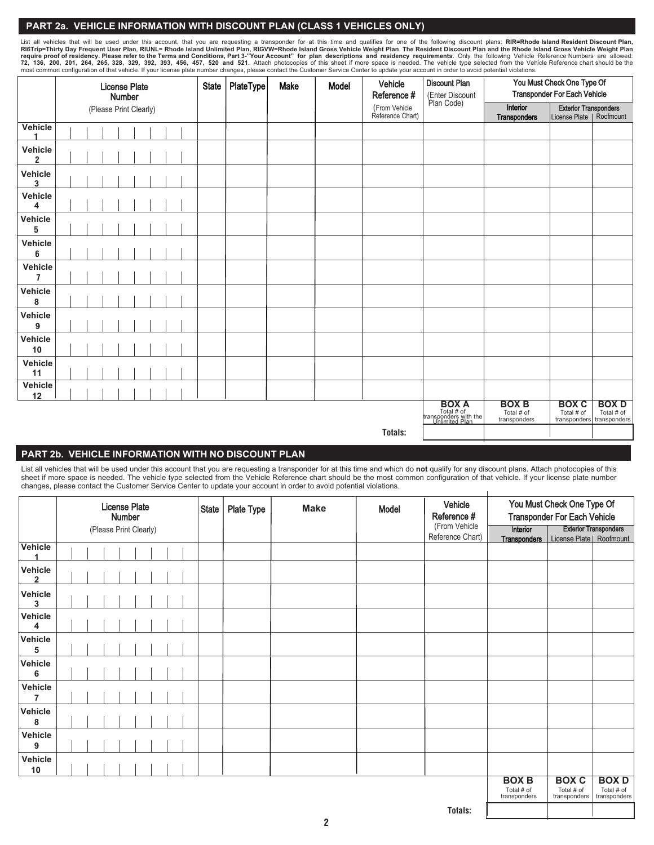#### **PART 2a. VEHICLE INFORMATION WITH DISCOUNT PLAN (CLASS 1 VEHICLES ONLY)**

List all vehicles that will be used under this account, that you are requesting a transponder for at this time and qualifies for one of the following discount plans: RIR=Rhode Island Resident Discount Plan, RIGT-Thirty Day

|                                  | <b>License Plate</b><br>Number |  | PlateType<br><b>State</b><br>Make<br>Model                            |                                            |                                                         | Vehicle<br>Reference #    | <b>Discount Plan</b><br>(Enter Discount<br>Plan Code) | You Must Check One Type Of<br><b>Transponder For Each Vehicle</b> |                          |                                                           |  |
|----------------------------------|--------------------------------|--|-----------------------------------------------------------------------|--------------------------------------------|---------------------------------------------------------|---------------------------|-------------------------------------------------------|-------------------------------------------------------------------|--------------------------|-----------------------------------------------------------|--|
|                                  | (Please Print Clearly)         |  |                                                                       |                                            |                                                         |                           | (From Vehicle<br>Reference Chart)                     |                                                                   | Interior<br>Transponders | <b>Exterior Transponders</b><br>License Plate   Roofmount |  |
| Vehicle                          |                                |  |                                                                       |                                            |                                                         |                           |                                                       |                                                                   |                          |                                                           |  |
| Vehicle<br>$\overline{2}$        |                                |  |                                                                       |                                            |                                                         |                           |                                                       |                                                                   |                          |                                                           |  |
| Vehicle<br>3                     |                                |  |                                                                       |                                            |                                                         |                           |                                                       |                                                                   |                          |                                                           |  |
| Vehicle<br>4                     |                                |  |                                                                       |                                            |                                                         |                           |                                                       |                                                                   |                          |                                                           |  |
| Vehicle<br>5                     |                                |  |                                                                       |                                            |                                                         |                           |                                                       |                                                                   |                          |                                                           |  |
| Vehicle<br>6                     |                                |  |                                                                       |                                            |                                                         |                           |                                                       |                                                                   |                          |                                                           |  |
| <b>Vehicle</b><br>$\overline{7}$ |                                |  |                                                                       |                                            |                                                         |                           |                                                       |                                                                   |                          |                                                           |  |
| Vehicle<br>8                     |                                |  |                                                                       |                                            |                                                         |                           |                                                       |                                                                   |                          |                                                           |  |
| Vehicle<br>9                     |                                |  |                                                                       |                                            |                                                         |                           |                                                       |                                                                   |                          |                                                           |  |
| Vehicle<br>10                    |                                |  |                                                                       |                                            |                                                         |                           |                                                       |                                                                   |                          |                                                           |  |
| Vehicle<br>11                    |                                |  |                                                                       |                                            |                                                         |                           |                                                       |                                                                   |                          |                                                           |  |
| Vehicle<br>12                    |                                |  |                                                                       |                                            |                                                         |                           |                                                       |                                                                   |                          |                                                           |  |
|                                  |                                |  | <b>BOX A</b><br>Total # of<br>transponders with the<br>Unlimited Plan | <b>BOX B</b><br>Total # of<br>transponders | <b>BOX C</b><br>Total # of<br>transponders transponders | <b>BOXD</b><br>Total # of |                                                       |                                                                   |                          |                                                           |  |
| Totals:                          |                                |  |                                                                       |                                            |                                                         |                           |                                                       |                                                                   |                          |                                                           |  |

## **PART 2b. VEHICLE INFORMATION WITH NO DISCOUNT PLAN**

List all vehicles that will be used under this account that you are requesting a transponder for at this time and which do **not** qualify for any discount plans. Attach photocopies of this sheet if more space is needed. The vehicle type selected from the Vehicle Reference chart should be the most common configuration of that vehicle. If your license plate number changes, please contact the Customer Service Center to update your account in order to avoid potential violations.

|                                    | <b>License Plate</b>   |  |  |  |  |  |  | <b>State</b> | Plate Type | <b>Make</b> | Model | Vehicle<br>Reference # | You Must Check One Type Of |                                   |                                                    |                                            |                                           |
|------------------------------------|------------------------|--|--|--|--|--|--|--------------|------------|-------------|-------|------------------------|----------------------------|-----------------------------------|----------------------------------------------------|--------------------------------------------|-------------------------------------------|
|                                    | Number                 |  |  |  |  |  |  |              |            |             |       |                        |                            |                                   | <b>Transponder For Each Vehicle</b>                |                                            |                                           |
|                                    | (Please Print Clearly) |  |  |  |  |  |  |              |            |             |       |                        |                            | (From Vehicle<br>Reference Chart) | Interior<br>Transponders License Plate   Roofmount |                                            | <b>Exterior Transponders</b>              |
| Vehicle                            |                        |  |  |  |  |  |  |              |            |             |       |                        |                            |                                   |                                                    |                                            |                                           |
| Vehicle<br>$\overline{\mathbf{2}}$ |                        |  |  |  |  |  |  |              |            |             |       |                        |                            |                                   |                                                    |                                            |                                           |
| Vehicle<br>3                       |                        |  |  |  |  |  |  |              |            |             |       |                        |                            |                                   |                                                    |                                            |                                           |
| Vehicle<br>4                       |                        |  |  |  |  |  |  |              |            |             |       |                        |                            |                                   |                                                    |                                            |                                           |
| Vehicle<br>5                       |                        |  |  |  |  |  |  |              |            |             |       |                        |                            |                                   |                                                    |                                            |                                           |
| Vehicle<br>6                       |                        |  |  |  |  |  |  |              |            |             |       |                        |                            |                                   |                                                    |                                            |                                           |
| Vehicle<br>$\overline{7}$          |                        |  |  |  |  |  |  |              |            |             |       |                        |                            |                                   |                                                    |                                            |                                           |
| Vehicle<br>8                       |                        |  |  |  |  |  |  |              |            |             |       |                        |                            |                                   |                                                    |                                            |                                           |
| Vehicle<br>9                       |                        |  |  |  |  |  |  |              |            |             |       |                        |                            |                                   |                                                    |                                            |                                           |
| Vehicle<br>10                      |                        |  |  |  |  |  |  |              |            |             |       |                        |                            |                                   |                                                    |                                            |                                           |
|                                    |                        |  |  |  |  |  |  |              |            |             |       |                        |                            |                                   | <b>BOX B</b><br>Total # of<br>transponders         | <b>BOX C</b><br>Total # of<br>transponders | <b>BOXD</b><br>Total # of<br>transponders |

**Totals:**

 $\overline{\phantom{a}}$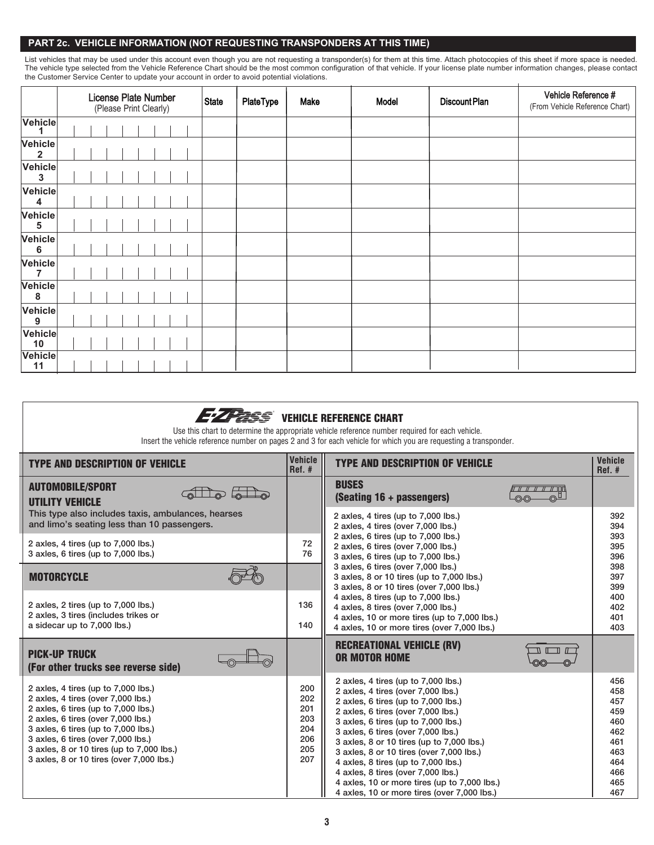### **PART 2c. VEHICLE INFORMATION (NOT REQUESTING TRANSPONDERS AT THIS TIME)**

List vehicles that may be used under this account even though you are not requesting a transponder(s) for them at this time. Attach photocopies of this sheet if more space is needed. The vehicle type selected from the Vehicle Reference Chart should be the most common configuration of that vehicle. If your license plate number information changes, please contact the Customer Service Center to update your account in order to avoid potential violations.

|                         | License Plate Number<br>(Please Print Clearly) | State | PlateType | Make | Model | <b>Discount Plan</b> | Vehicle Reference #<br>(From Vehicle Reference Chart) |  |
|-------------------------|------------------------------------------------|-------|-----------|------|-------|----------------------|-------------------------------------------------------|--|
| Vehicle                 |                                                |       |           |      |       |                      |                                                       |  |
| Vehicle<br>$\mathbf{2}$ |                                                |       |           |      |       |                      |                                                       |  |
| Vehicle<br>3            |                                                |       |           |      |       |                      |                                                       |  |
| Vehicle<br>4            |                                                |       |           |      |       |                      |                                                       |  |
| Vehicle<br>5            |                                                |       |           |      |       |                      |                                                       |  |
| Vehicle<br>6            |                                                |       |           |      |       |                      |                                                       |  |
| Vehicle<br>7            |                                                |       |           |      |       |                      |                                                       |  |
| <b>Vehicle</b><br>8     |                                                |       |           |      |       |                      |                                                       |  |
| Vehicle<br>9            |                                                |       |           |      |       |                      |                                                       |  |
| Vehicle<br>10           |                                                |       |           |      |       |                      |                                                       |  |
| Vehicle<br>11           |                                                |       |           |      |       |                      |                                                       |  |

| <b>EZZZESS</b> VEHICLE REFERENCE CHART<br>Use this chart to determine the appropriate vehicle reference number required for each vehicle.<br>Insert the vehicle reference number on pages 2 and 3 for each vehicle for which you are requesting a transponder.                                                               |                                                      |                                                                                                                                                                                                                                                                                                                                                                                                                                                                                                          |                                                                                  |  |  |  |  |  |  |  |
|------------------------------------------------------------------------------------------------------------------------------------------------------------------------------------------------------------------------------------------------------------------------------------------------------------------------------|------------------------------------------------------|----------------------------------------------------------------------------------------------------------------------------------------------------------------------------------------------------------------------------------------------------------------------------------------------------------------------------------------------------------------------------------------------------------------------------------------------------------------------------------------------------------|----------------------------------------------------------------------------------|--|--|--|--|--|--|--|
| <b>TYPE AND DESCRIPTION OF VEHICLE</b>                                                                                                                                                                                                                                                                                       | <b>Vehicle</b><br>$Ref.$ #                           | <b>TYPE AND DESCRIPTION OF VEHICLE</b>                                                                                                                                                                                                                                                                                                                                                                                                                                                                   | <b>Vehicle</b><br>$Ref.$ #                                                       |  |  |  |  |  |  |  |
| <b>AUTOMOBILE/SPORT</b><br><b>UTILITY VEHICLE</b>                                                                                                                                                                                                                                                                            |                                                      | <b>BUSES</b><br>(Seating 16 + passengers)                                                                                                                                                                                                                                                                                                                                                                                                                                                                |                                                                                  |  |  |  |  |  |  |  |
| This type also includes taxis, ambulances, hearses<br>and limo's seating less than 10 passengers.                                                                                                                                                                                                                            |                                                      | 2 axles, 4 tires (up to 7,000 lbs.)<br>2 axles, 4 tires (over 7,000 lbs.)                                                                                                                                                                                                                                                                                                                                                                                                                                | 392<br>394                                                                       |  |  |  |  |  |  |  |
| 2 axles, 4 tires (up to 7,000 lbs.)<br>3 axles, 6 tires (up to 7,000 lbs.)                                                                                                                                                                                                                                                   | 72<br>76                                             | 2 axles, 6 tires (up to 7,000 lbs.)<br>2 axles, 6 tires (over 7,000 lbs.)<br>3 axles, 6 tires (up to 7,000 lbs.)                                                                                                                                                                                                                                                                                                                                                                                         | 393<br>395<br>396                                                                |  |  |  |  |  |  |  |
| <b>MOTORCYCLE</b>                                                                                                                                                                                                                                                                                                            |                                                      | 3 axles, 6 tires (over 7,000 lbs.)<br>3 axles, 8 or 10 tires (up to 7,000 lbs.)<br>3 axles, 8 or 10 tires (over 7,000 lbs.)                                                                                                                                                                                                                                                                                                                                                                              | 398<br>397<br>399                                                                |  |  |  |  |  |  |  |
| 2 axles, 2 tires (up to 7,000 lbs.)<br>2 axles, 3 tires (includes trikes or<br>a sidecar up to 7,000 lbs.)                                                                                                                                                                                                                   | 136<br>140                                           | 4 axles, 8 tires (up to 7,000 lbs.)<br>4 axles, 8 tires (over 7,000 lbs.)<br>4 axles, 10 or more tires (up to 7,000 lbs.)<br>4 axles, 10 or more tires (over 7,000 lbs.)                                                                                                                                                                                                                                                                                                                                 | 400<br>402<br>401<br>403                                                         |  |  |  |  |  |  |  |
| <b>PICK-UP TRUCK</b><br>(For other trucks see reverse side)                                                                                                                                                                                                                                                                  |                                                      | <b>RECREATIONAL VEHICLE (RV)</b><br><b>OR MOTOR HOME</b>                                                                                                                                                                                                                                                                                                                                                                                                                                                 |                                                                                  |  |  |  |  |  |  |  |
| 2 axles, 4 tires (up to 7,000 lbs.)<br>2 axles, 4 tires (over 7,000 lbs.)<br>2 axles, 6 tires (up to 7,000 lbs.)<br>2 axles, 6 tires (over 7,000 lbs.)<br>3 axles, 6 tires (up to 7,000 lbs.)<br>3 axles, 6 tires (over 7,000 lbs.)<br>3 axles, 8 or 10 tires (up to 7,000 lbs.)<br>3 axles, 8 or 10 tires (over 7,000 lbs.) | 200<br>202<br>201<br>203<br>204<br>206<br>205<br>207 | 2 axles, 4 tires (up to 7,000 lbs.)<br>2 axles, 4 tires (over 7,000 lbs.)<br>2 axles, 6 tires (up to 7,000 lbs.)<br>2 axles, 6 tires (over 7,000 lbs.)<br>3 axles, 6 tires (up to 7,000 lbs.)<br>3 axles, 6 tires (over 7,000 lbs.)<br>3 axles, 8 or 10 tires (up to 7,000 lbs.)<br>3 axles, 8 or 10 tires (over 7,000 lbs.)<br>4 axles, 8 tires (up to 7,000 lbs.)<br>4 axles, 8 tires (over 7,000 lbs.)<br>4 axles, 10 or more tires (up to 7,000 lbs.)<br>4 axles, 10 or more tires (over 7,000 lbs.) | 456<br>458<br>457<br>459<br>460<br>462<br>461<br>463<br>464<br>466<br>465<br>467 |  |  |  |  |  |  |  |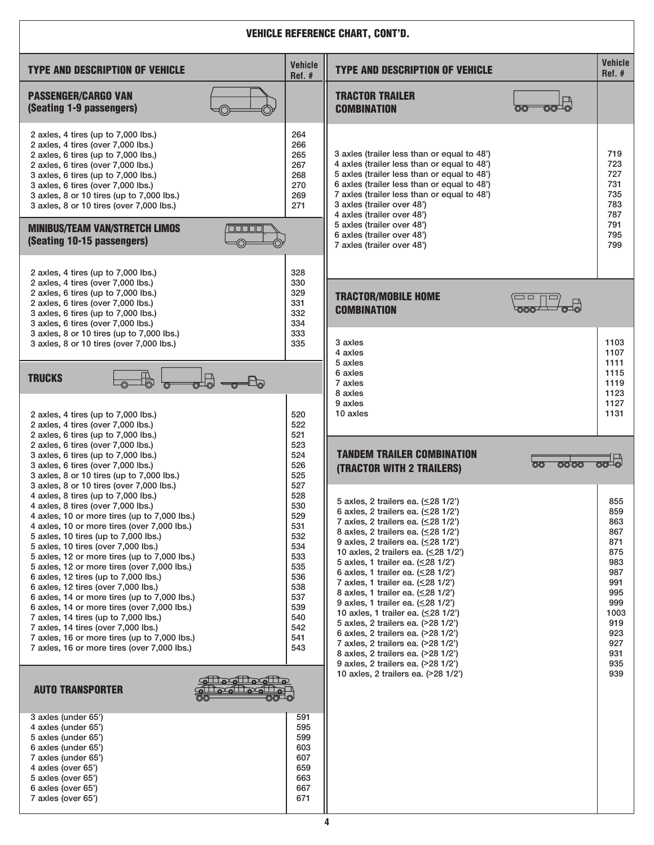| <b>VEHICLE REFERENCE CHART, CONT'D.</b>                                                                                                                                                                                                                                                                                                                                                                                                                                                                                                                                                                                                                                                                                                                        |                                                                                                                     |                                                                                                                                                                                                                                                                                                                                                                                                                                                                                                                                                                                                                                                                                                                                   |                                                                                                                      |  |  |  |  |  |  |  |
|----------------------------------------------------------------------------------------------------------------------------------------------------------------------------------------------------------------------------------------------------------------------------------------------------------------------------------------------------------------------------------------------------------------------------------------------------------------------------------------------------------------------------------------------------------------------------------------------------------------------------------------------------------------------------------------------------------------------------------------------------------------|---------------------------------------------------------------------------------------------------------------------|-----------------------------------------------------------------------------------------------------------------------------------------------------------------------------------------------------------------------------------------------------------------------------------------------------------------------------------------------------------------------------------------------------------------------------------------------------------------------------------------------------------------------------------------------------------------------------------------------------------------------------------------------------------------------------------------------------------------------------------|----------------------------------------------------------------------------------------------------------------------|--|--|--|--|--|--|--|
| <b>TYPE AND DESCRIPTION OF VEHICLE</b>                                                                                                                                                                                                                                                                                                                                                                                                                                                                                                                                                                                                                                                                                                                         | <b>Vehicle</b><br>Ref.#                                                                                             | <b>TYPE AND DESCRIPTION OF VEHICLE</b>                                                                                                                                                                                                                                                                                                                                                                                                                                                                                                                                                                                                                                                                                            | <b>Vehicle</b><br>Ref. #                                                                                             |  |  |  |  |  |  |  |
| <b>PASSENGER/CARGO VAN</b><br>(Seating 1-9 passengers)                                                                                                                                                                                                                                                                                                                                                                                                                                                                                                                                                                                                                                                                                                         |                                                                                                                     | <b>TRACTOR TRAILER</b><br>$\circledcirc$<br><b>COMBINATION</b><br>00                                                                                                                                                                                                                                                                                                                                                                                                                                                                                                                                                                                                                                                              |                                                                                                                      |  |  |  |  |  |  |  |
| 2 axles, 4 tires (up to 7,000 lbs.)<br>2 axles, 4 tires (over 7,000 lbs.)<br>2 axles, 6 tires (up to 7,000 lbs.)<br>2 axles, 6 tires (over 7,000 lbs.)<br>3 axles, 6 tires (up to 7,000 lbs.)<br>3 axles, 6 tires (over 7,000 lbs.)<br>3 axles, 8 or 10 tires (up to 7,000 lbs.)<br>3 axles, 8 or 10 tires (over 7,000 lbs.)<br><b>MINIBUS/TEAM VAN/STRETCH LIMOS</b><br><b>MANTIFIC</b><br>(Seating 10-15 passengers)                                                                                                                                                                                                                                                                                                                                         | 264<br>266<br>265<br>267<br>268<br>270<br>269<br>271                                                                | 3 axles (trailer less than or equal to 48')<br>4 axles (trailer less than or equal to 48')<br>5 axles (trailer less than or equal to 48')<br>6 axles (trailer less than or equal to 48')<br>7 axles (trailer less than or equal to 48')<br>3 axles (trailer over 48')<br>4 axles (trailer over 48')<br>5 axles (trailer over 48')<br>6 axles (trailer over 48')<br>7 axles (trailer over 48')                                                                                                                                                                                                                                                                                                                                     | 719<br>723<br>727<br>731<br>735<br>783<br>787<br>791<br>795<br>799                                                   |  |  |  |  |  |  |  |
| 2 axles, 4 tires (up to 7,000 lbs.)<br>2 axles, 4 tires (over 7,000 lbs.)<br>2 axles, 6 tires (up to 7,000 lbs.)<br>2 axles, 6 tires (over 7,000 lbs.)<br>3 axles, 6 tires (up to 7,000 lbs.)<br>3 axles, 6 tires (over 7,000 lbs.)                                                                                                                                                                                                                                                                                                                                                                                                                                                                                                                            | 328<br>330<br>329<br>331<br>332<br>334                                                                              | <b>TRACTOR/MOBILE HOME</b><br>$\Box$ $\Box$<br>$\overline{\circ}$<br><b>COMBINATION</b><br>-000-                                                                                                                                                                                                                                                                                                                                                                                                                                                                                                                                                                                                                                  |                                                                                                                      |  |  |  |  |  |  |  |
| 3 axles, 8 or 10 tires (up to 7,000 lbs.)<br>3 axles, 8 or 10 tires (over 7,000 lbs.)<br>$\mathbb{P}$<br>$\mathbb{H}_{\!\scriptscriptstyle\mathrm{C}}$<br><b>TRUCKS</b><br>2 axles, 4 tires (up to 7,000 lbs.)<br>2 axles, 4 tires (over 7,000 lbs.)<br>2 axles, 6 tires (up to 7,000 lbs.)                                                                                                                                                                                                                                                                                                                                                                                                                                                                    | 333<br>335<br>520<br>522<br>521                                                                                     | 3 axles<br>4 axles<br>5 axles<br>6 axles<br>7 axles<br>8 axles<br>9 axles<br>10 axles                                                                                                                                                                                                                                                                                                                                                                                                                                                                                                                                                                                                                                             | 1103<br>1107<br>1111<br>1115<br>1119<br>1123<br>1127<br>1131                                                         |  |  |  |  |  |  |  |
| 2 axles, 6 tires (over 7,000 lbs.)<br>3 axles, 6 tires (up to 7,000 lbs.)<br>3 axles, 6 tires (over 7,000 lbs.)<br>3 axles, 8 or 10 tires (up to 7,000 lbs.)                                                                                                                                                                                                                                                                                                                                                                                                                                                                                                                                                                                                   | 523<br>524<br>526<br>525                                                                                            | <b>TANDEM TRAILER COMBINATION</b><br>ිත<br>0000<br>(TRACTOR WITH 2 TRAILERS)                                                                                                                                                                                                                                                                                                                                                                                                                                                                                                                                                                                                                                                      | $\overline{\circ}$                                                                                                   |  |  |  |  |  |  |  |
| 3 axles, 8 or 10 tires (over 7,000 lbs.)<br>4 axles, 8 tires (up to 7,000 lbs.)<br>4 axles, 8 tires (over 7,000 lbs.)<br>4 axles, 10 or more tires (up to 7,000 lbs.)<br>4 axles, 10 or more tires (over 7,000 lbs.)<br>5 axles, 10 tires (up to 7,000 lbs.)<br>5 axles, 10 tires (over 7,000 lbs.)<br>5 axles, 12 or more tires (up to 7,000 lbs.)<br>5 axles, 12 or more tires (over 7,000 lbs.)<br>6 axles, 12 tires (up to 7,000 lbs.)<br>6 axles, 12 tires (over 7,000 lbs.)<br>6 axles, 14 or more tires (up to 7,000 lbs.)<br>6 axles, 14 or more tires (over 7,000 lbs.)<br>7 axles, 14 tires (up to 7,000 lbs.)<br>7 axles, 14 tires (over 7,000 lbs.)<br>7 axles, 16 or more tires (up to 7,000 lbs.)<br>7 axles, 16 or more tires (over 7,000 lbs.) | 527<br>528<br>530<br>529<br>531<br>532<br>534<br>533<br>535<br>536<br>538<br>537<br>539<br>540<br>542<br>541<br>543 | 5 axles, 2 trailers ea. (≤28 1/2')<br>6 axles, 2 trailers ea. $( \leq 28 \frac{1}{2})$<br>7 axles, 2 trailers ea. $( \leq 28 \; 1/2)$<br>8 axles, 2 trailers ea. (≤28 1/2')<br>9 axles, 2 trailers ea. $( \leq 28 \frac{1}{2})$<br>10 axles, 2 trailers ea. $( \leq 28 \frac{1}{2})$<br>5 axles, 1 trailer ea. (< 28 1/2')<br>6 axles, 1 trailer ea. $(\leq 28 \frac{1}{2})$<br>7 axles, 1 trailer ea. (< 28 1/2')<br>8 axles, 1 trailer ea. (≤28 1/2')<br>9 axles, 1 trailer ea. (<28 1/2')<br>10 axles, 1 trailer ea. (< 28 1/2')<br>5 axles, 2 trailers ea. (>28 1/2')<br>6 axles, 2 trailers ea. (>28 1/2')<br>7 axles, 2 trailers ea. (>28 1/2')<br>8 axles, 2 trailers ea. (>28 1/2')<br>9 axles, 2 trailers ea. (>28 1/2') | 855<br>859<br>863<br>867<br>871<br>875<br>983<br>987<br>991<br>995<br>999<br>1003<br>919<br>923<br>927<br>931<br>935 |  |  |  |  |  |  |  |
| diocliodio<br><b>AUTO TRANSPORTER</b><br>agallagalla                                                                                                                                                                                                                                                                                                                                                                                                                                                                                                                                                                                                                                                                                                           |                                                                                                                     | 10 axles, 2 trailers ea. (>28 1/2')                                                                                                                                                                                                                                                                                                                                                                                                                                                                                                                                                                                                                                                                                               | 939                                                                                                                  |  |  |  |  |  |  |  |
| 3 axles (under 65')<br>4 axles (under 65')<br>5 axles (under 65')<br>6 axles (under 65')<br>7 axles (under 65')<br>4 axles (over 65')<br>5 axles (over 65')<br>6 axles (over 65')<br>7 axles (over 65')                                                                                                                                                                                                                                                                                                                                                                                                                                                                                                                                                        | 591<br>595<br>599<br>603<br>607<br>659<br>663<br>667<br>671                                                         |                                                                                                                                                                                                                                                                                                                                                                                                                                                                                                                                                                                                                                                                                                                                   |                                                                                                                      |  |  |  |  |  |  |  |